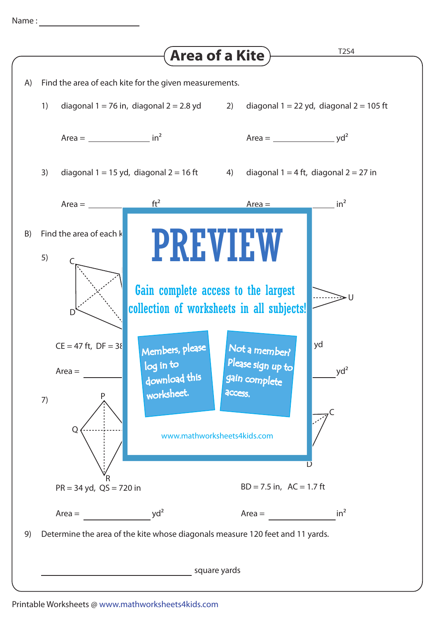